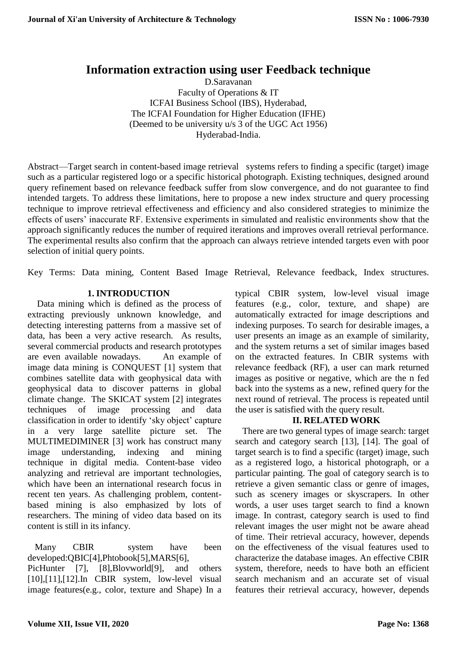# **Information extraction using user Feedback technique**

D.Saravanan Faculty of Operations & IT ICFAI Business School (IBS), Hyderabad, The ICFAI Foundation for Higher Education (IFHE) (Deemed to be university u/s 3 of the UGC Act 1956) Hyderabad-India.

Abstract—Target search in content-based image retrieval systems refers to finding a specific (target) image such as a particular registered logo or a specific historical photograph. Existing techniques, designed around query refinement based on relevance feedback suffer from slow convergence, and do not guarantee to find intended targets. To address these limitations, here to propose a new index structure and query processing technique to improve retrieval effectiveness and efficiency and also considered strategies to minimize the effects of users' inaccurate RF. Extensive experiments in simulated and realistic environments show that the approach significantly reduces the number of required iterations and improves overall retrieval performance. The experimental results also confirm that the approach can always retrieve intended targets even with poor selection of initial query points.

Key Terms: Data mining, Content Based Image Retrieval, Relevance feedback, Index structures.

# **1. INTRODUCTION**

Data mining which is defined as the process of extracting previously unknown knowledge, and detecting interesting patterns from a massive set of data, has been a very active research. As results, several commercial products and research prototypes are even available nowadays. An example of image data mining is CONQUEST [1] system that combines satellite data with geophysical data with geophysical data to discover patterns in global climate change. The SKICAT system [2] integrates techniques of image processing and data classification in order to identify 'sky object' capture in a very large satellite picture set. The MULTIMEDIMINER [3] work has construct many image understanding, indexing and mining technique in digital media. Content-base video analyzing and retrieval are important technologies, which have been an international research focus in recent ten years. As challenging problem, contentbased mining is also emphasized by lots of researchers. The mining of video data based on its content is still in its infancy.

Many CBIR system have been developed:QBIC[4],Phtobook[5],MARS[6],

PicHunter [7], [8], Blovworld<sup>[9]</sup>, and others [10],[11],[12].In CBIR system, low-level visual image features(e.g., color, texture and Shape) In a typical CBIR system, low-level visual image features (e.g., color, texture, and shape) are automatically extracted for image descriptions and indexing purposes. To search for desirable images, a user presents an image as an example of similarity, and the system returns a set of similar images based on the extracted features. In CBIR systems with relevance feedback (RF), a user can mark returned images as positive or negative, which are the n fed back into the systems as a new, refined query for the next round of retrieval. The process is repeated until the user is satisfied with the query result.

### **II. RELATED WORK**

There are two general types of image search: target search and category search [13], [14]. The goal of target search is to find a specific (target) image, such as a registered logo, a historical photograph, or a particular painting. The goal of category search is to retrieve a given semantic class or genre of images, such as scenery images or skyscrapers. In other words, a user uses target search to find a known image. In contrast, category search is used to find relevant images the user might not be aware ahead of time. Their retrieval accuracy, however, depends on the effectiveness of the visual features used to characterize the database images. An effective CBIR system, therefore, needs to have both an efficient search mechanism and an accurate set of visual features their retrieval accuracy, however, depends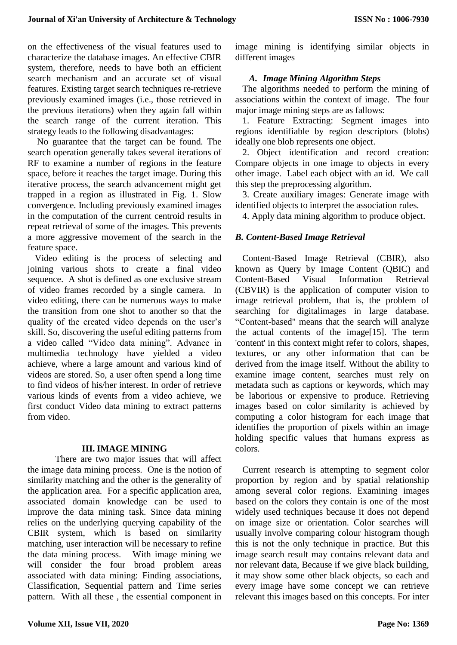on the effectiveness of the visual features used to characterize the database images. An effective CBIR system, therefore, needs to have both an efficient search mechanism and an accurate set of visual features. Existing target search techniques re-retrieve previously examined images (i.e., those retrieved in the previous iterations) when they again fall within the search range of the current iteration. This strategy leads to the following disadvantages:

No guarantee that the target can be found. The search operation generally takes several iterations of RF to examine a number of regions in the feature space, before it reaches the target image. During this iterative process, the search advancement might get trapped in a region as illustrated in Fig. 1. Slow convergence. Including previously examined images in the computation of the current centroid results in repeat retrieval of some of the images. This prevents a more aggressive movement of the search in the feature space.

Video editing is the process of selecting and joining various shots to create a final video sequence. A shot is defined as one exclusive stream of video frames recorded by a single camera. In video editing, there can be numerous ways to make the transition from one shot to another so that the quality of the created video depends on the user's skill. So, discovering the useful editing patterns from a video called "Video data mining". Advance in multimedia technology have yielded a video achieve, where a large amount and various kind of videos are stored. So, a user often spend a long time to find videos of his/her interest. In order of retrieve various kinds of events from a video achieve, we first conduct Video data mining to extract patterns from video.

### **III. IMAGE MINING**

There are two major issues that will affect the image data mining process. One is the notion of similarity matching and the other is the generality of the application area. For a specific application area, associated domain knowledge can be used to improve the data mining task. Since data mining relies on the underlying querying capability of the CBIR system, which is based on similarity matching, user interaction will be necessary to refine the data mining process. With image mining we will consider the four broad problem areas associated with data mining: Finding associations, Classification, Sequential pattern and Time series pattern. With all these , the essential component in

image mining is identifying similar objects in different images

# *A. Image Mining Algorithm Steps*

The algorithms needed to perform the mining of associations within the context of image. The four major image mining steps are as fallows:

1. Feature Extracting: Segment images into regions identifiable by region descriptors (blobs) ideally one blob represents one object.

2. Object identification and record creation: Compare objects in one image to objects in every other image. Label each object with an id. We call this step the preprocessing algorithm.

3. Create auxiliary images: Generate image with identified objects to interpret the association rules.

4. Apply data mining algorithm to produce object.

# *B. Content-Based Image Retrieval*

Content-Based Image Retrieval (CBIR), also known as Query by Image Content (QBIC) and Content-Based Visual Information Retrieval (CBVIR) is the application of computer vision to image retrieval problem, that is, the problem of searching for digitalimages in large database. "Content-based" means that the search will analyze the actual contents of the image[15]. The term 'content' in this context might refer to colors, shapes, textures, or any other information that can be derived from the image itself. Without the ability to examine image content, searches must rely on metadata such as captions or keywords, which may be laborious or expensive to produce. Retrieving images based on color similarity is achieved by computing a color histogram for each image that identifies the proportion of pixels within an image holding specific values that humans express as colors.

Current research is attempting to segment color proportion by region and by spatial relationship among several color regions. Examining images based on the colors they contain is one of the most widely used techniques because it does not depend on image size or orientation. Color searches will usually involve comparing colour histogram though this is not the only technique in practice. But this image search result may contains relevant data and nor relevant data, Because if we give black building, it may show some other black objects, so each and every image have some concept we can retrieve relevant this images based on this concepts. For inter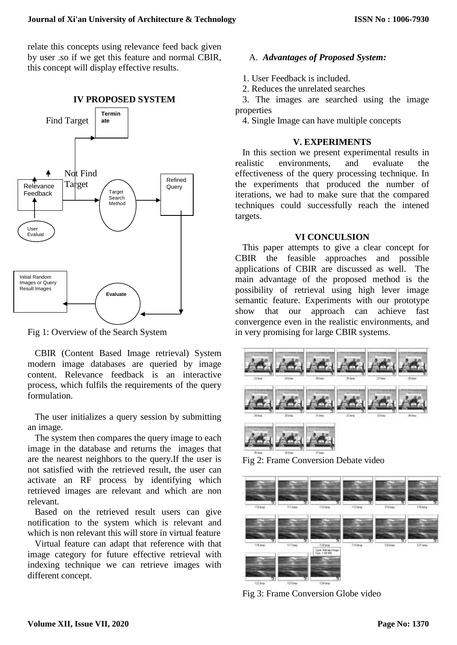relate this concepts using relevance feed back given by user .so if we get this feature and normal CBIR, this concept will display effective results.



Fig 1: Overview of the Search System

CBIR (Content Based Image retrieval) System modern image databases are queried by image content. Relevance feedback is an interactive process, which fulfils the requirements of the query formulation.

The user initializes a query session by submitting an image.

The system then compares the query image to each image in the database and returns the images that are the nearest neighbors to the query.If the user is not satisfied with the retrieved result, the user can activate an RF process by identifying which retrieved images are relevant and which are non relevant.

Based on the retrieved result users can give notification to the system which is relevant and which is non relevant this will store in virtual feature

Virtual feature can adapt that reference with that image category for future effective retrieval with indexing technique we can retrieve images with different concept.

# A. *Advantages of Proposed System:*

- 1. User Feedback is included.
- 2. Reduces the unrelated searches

3. The images are searched using the image properties

4. Single Image can have multiple concepts

#### **V. EXPERIMENTS**

In this section we present experimental results in realistic environments, and evaluate the effectiveness of the query processing technique. In the experiments that produced the number of iterations, we had to make sure that the compared techniques could successfully reach the intened targets.

### **VI CONCULSION**

This paper attempts to give a clear concept for CBIR the feasible approaches and possible applications of CBIR are discussed as well. The main advantage of the proposed method is the possibility of retrieval using high lever image semantic feature. Experiments with our prototype show that our approach can achieve fast convergence even in the realistic environments, and in very promising for large CBIR systems.



Fig 2: Frame Conversion Debate video



Fig 3: Frame Conversion Globe video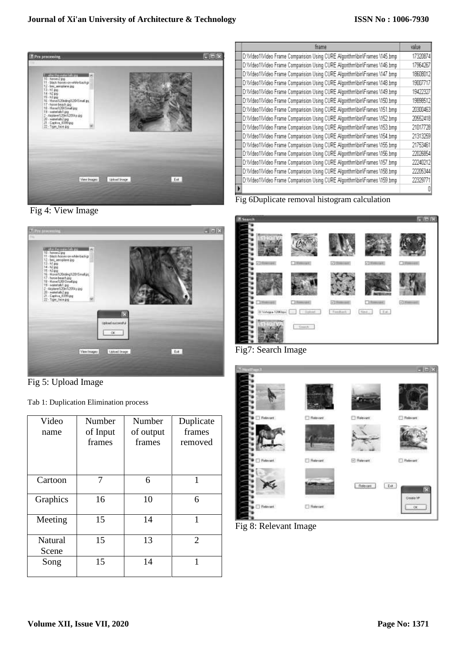

Fig 4: View Image



Fig 5: Upload Image

Tab 1: Duplication Elimination process

| Video<br>name    | Number<br>of Input<br>frames | Number<br>of output<br>frames | Duplicate<br>frames<br>removed |
|------------------|------------------------------|-------------------------------|--------------------------------|
| Cartoon          | 7                            | 6                             | 1                              |
| Graphics         | 16                           | 10                            | 6                              |
| Meeting          | 15                           | 14                            | 1                              |
| Natural<br>Scene | 15                           | 13                            | $\mathcal{D}_{\mathcal{L}}$    |
| Song             | 15                           | 14                            |                                |

| <b>fname</b>                                                             |          |  |
|--------------------------------------------------------------------------|----------|--|
| D:Wideo1Wideo Frame Comparision Using CURE AlgorithmNbinNFrames \145.bmp | 17320874 |  |
| D:Wideo1Wideo Frame Comparision Using CURE AlgorithmNbinNFrames \146.bmp | 17964267 |  |
| D:Wideo1Wideo Frame Comparision Using CURE AlgorithmYbinYFrames \147.bmp | 18608012 |  |
| D:Wideo1Wideo Frame Comparision Using CURE AlgorithmWhin\Frames \148.bmp | 19007717 |  |
| D:Wideo1Wideo Frame Comparision Using CURE AlgorithmWhin\Frames \149.bmp | 19472327 |  |
| D:Wideo1Wideo Frame Comparision Using CURE AlgorithmNbinNFrames \150.bmp | 19898512 |  |
| D:Wideo1Wideo Frame Comparision Using CURE AlgorithmNbinNFrames \151.bmp | 20300463 |  |
| D:Wideo1Wideo Frame Comparision Using CURE AlgorithmNbinNFrames \152.bmp | 20552418 |  |
| D:Wideo1Wideo Frame Comparision Using CURE AlgorithmNbinNFrames \153.bmp | 21017728 |  |
| D:Wideo1Wideo Frame Comparision Using CURE AlgorithmWhin\Frames \154.bmp | 21313259 |  |
| D:Wideo1Wideo Frame Comparision Using CURE AlgorithmNbinNFrames \155.bmp | 21753461 |  |
| D:Wideo1Wideo Frame Comparision Using CURE AlgorithmWhin\Frames \156.bmp | 22026854 |  |
| D:Wideo1Wideo Frame Comparision Using CURE AlgorithmWhin\Frames \157.bmp | 22240212 |  |
| D:Wideo1Wideo Frame Comparision Using CURE AlgorithmYbinYFrames \158.bmp | 22205344 |  |
| D:Wideo1Wideo Frame Comparision Using CURE AlgorithmWhin\Frames \159.bmp | 22329771 |  |
|                                                                          |          |  |

Fig 6Duplicate removal histogram calculation



Fig7: Search Image



Fig 8: Relevant Image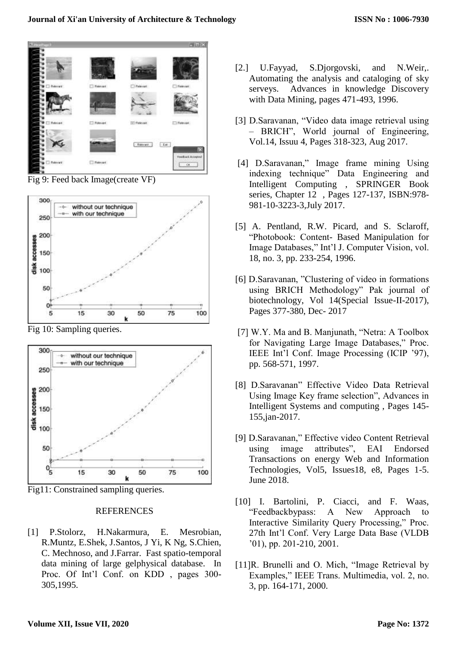

Fig 9: Feed back Image(create VF)



Fig 10: Sampling queries.



Fig11: Constrained sampling queries.

#### REFERENCES

[1] P.Stolorz, H.Nakarmura, E. Mesrobian, R.Muntz, E.Shek, J.Santos, J Yi, K Ng, S.Chien, C. Mechnoso, and J.Farrar. Fast spatio-temporal data mining of large gelphysical database. In Proc. Of Int'l Conf. on KDD , pages 300- 305,1995.

- [2.] U.Fayyad, S.Djorgovski, and N.Weir,. Automating the analysis and cataloging of sky serveys. Advances in knowledge Discovery with Data Mining, pages 471-493, 1996.
- [3] D.Saravanan, "Video data image retrieval using – BRICH", World journal of Engineering, Vol.14, Issuu 4, Pages 318-323, Aug 2017.
- [4] D.Saravanan," Image frame mining Using indexing technique" Data Engineering and Intelligent Computing , SPRINGER Book series, Chapter 12 , Pages 127-137, ISBN:978- 981-10-3223-3,July 2017.
- [5] A. Pentland, R.W. Picard, and S. Sclaroff, "Photobook: Content- Based Manipulation for Image Databases," Int'l J. Computer Vision, vol. 18, no. 3, pp. 233-254, 1996.
- [6] D.Saravanan, "Clustering of video in formations using BRICH Methodology" Pak journal of biotechnology, Vol 14(Special Issue-II-2017), Pages 377-380, Dec- 2017
- [7] W.Y. Ma and B. Manjunath, "Netra: A Toolbox for Navigating Large Image Databases," Proc. IEEE Int'l Conf. Image Processing (ICIP '97), pp. 568-571, 1997.
- [8] D.Saravanan" Effective Video Data Retrieval Using Image Key frame selection", Advances in Intelligent Systems and computing , Pages 145- 155,jan-2017.
- [9] D.Saravanan," Effective video Content Retrieval using image attributes", EAI Endorsed Transactions on energy Web and Information Technologies, Vol5, Issues18, e8, Pages 1-5. June 2018.
- [10] I. Bartolini, P. Ciacci, and F. Waas, "Feedbackbypass: A New Approach to Interactive Similarity Query Processing," Proc. 27th Int'l Conf. Very Large Data Base (VLDB '01), pp. 201-210, 2001.
- [11]R. Brunelli and O. Mich, "Image Retrieval by Examples," IEEE Trans. Multimedia, vol. 2, no. 3, pp. 164-171, 2000.